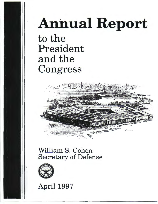## Annual Report

to the President and the Congress



William S. Cohen Secretary of Defense



April 1997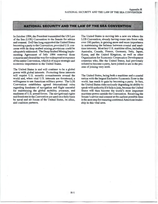## **NATIONAL SECURITY AND THE LAW OF THE SEA CONVENTION**

×

In October 1994, the President transmitted the UN Law of the Sea (LOS) Convention to the Senate for advice and consent. DoD has long supported the United States becoming a party to the Convention, provided U.S. concerns with its deep seabed mining provisions could be adequately addressed. The Deep Seabed Mining Implementing Agreement of July 1994 removed those concerns and cleared the way for widespread acceptance of the entire Convention, which is of major strategic and economic importance to the United States.

The United States is and will continue to be a global power with global interests. Protecting these interests will require U.S. security commitments around the world and, when vital U.S. interests are threatened, a willingness to use American military power. The LOS Convention establishes agreed international rules regarding freedoms of navigation and flight essential for maintaining the global mobility, presence, and readiness of U.S. armed forces. The navigational rights and freedoms in the Convention are used on a daily basis by naval and air forces of the United States, its allies, and coalition partners.

The United States is moving into a new era where the LOS Convention, already having come into force with over 100 parties, is gaining more and more importance in maintaining the balance between coastal and maritime interests. Most key U.S. maritime allies, including Australia, Canada, France, Germany, Italy, Japan, Korea, and the United Kingdom, as well as other Organization for Economic Cooperation Development countries who, like the United States, had previously refused to become a party, have joined or are in the process of joining very soon.

The United States, being both a maritime and a coastal nation with the largest Exclusive Economic Zone in the world, has much to gain by becoming a party. In fact, the United States risks seriously degrading its ability to speak with authority if it fails to join, because the United States will then become the world's most important maritime power outside the Convention. Receiving the Senate's advice and consent at the earliest possible time is the next step for ensuring continued American leadership in this vital area.